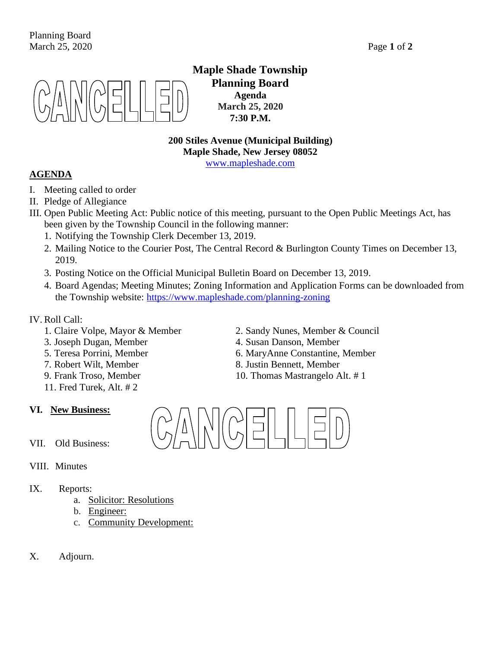

**Maple Shade Township Planning Board Agenda March 25, 2020 7:30 P.M.**

**200 Stiles Avenue (Municipal Building) Maple Shade, New Jersey 08052** [www.mapleshade.com](http://www.mapleshade.com/)

## **AGENDA**

- I. Meeting called to order
- II. Pledge of Allegiance
- III. Open Public Meeting Act: Public notice of this meeting, pursuant to the Open Public Meetings Act, has been given by the Township Council in the following manner:
	- 1. Notifying the Township Clerk December 13, 2019.
	- 2. Mailing Notice to the Courier Post, The Central Record & Burlington County Times on December 13, 2019.
	- 3. Posting Notice on the Official Municipal Bulletin Board on December 13, 2019.
	- 4. Board Agendas; Meeting Minutes; Zoning Information and Application Forms can be downloaded from the Township website:<https://www.mapleshade.com/planning-zoning>

## IV. Roll Call:

- 
- 
- 
- 
- 
- 11. Fred Turek, Alt. # 2

## **VI. New Business:**

- VII. Old Business:
- VIII. Minutes
- IX. Reports:
	- a. Solicitor: Resolutions
	- b. Engineer:
	- c. Community Development:
- X. Adjourn.
- 1. Claire Volpe, Mayor & Member 2. Sandy Nunes, Member & Council
- 3. Joseph Dugan, Member 4. Susan Danson, Member
- 5. Teresa Porrini, Member 6. MaryAnne Constantine, Member
- 7. Robert Wilt, Member 8. Justin Bennett, Member
- 9. Frank Troso, Member 10. Thomas Mastrangelo Alt. #1